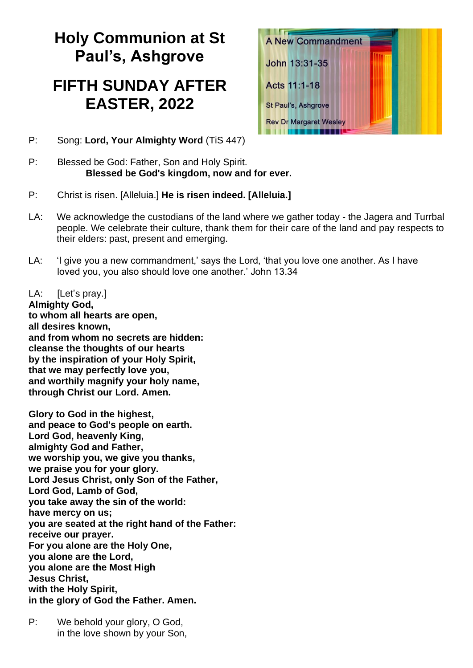# **Holy Communion at St Paul's, Ashgrove**

## **FIFTH SUNDAY AFTER EASTER, 2022**

- **A New Commandment** John 13:31-35 Acts 11:1-18 St Paul's, Ashgrove **Rev Dr Margaret Wesley** ,,,,,,,,,,,,,
- P: Song: **Lord, Your Almighty Word** (TiS 447)
- P: Blessed be God: Father, Son and Holy Spirit. **Blessed be God's kingdom, now and for ever.**
- P: Christ is risen. [Alleluia.] **He is risen indeed. [Alleluia.]**
- LA: We acknowledge the custodians of the land where we gather today the Jagera and Turrbal people. We celebrate their culture, thank them for their care of the land and pay respects to their elders: past, present and emerging.
- LA: 'I give you a new commandment,' says the Lord, 'that you love one another. As I have loved you, you also should love one another.' John 13.34

LA: [Let's pray.]

**Almighty God, to whom all hearts are open, all desires known, and from whom no secrets are hidden: cleanse the thoughts of our hearts by the inspiration of your Holy Spirit, that we may perfectly love you, and worthily magnify your holy name, through Christ our Lord. Amen.** 

**Glory to God in the highest, and peace to God's people on earth. Lord God, heavenly King, almighty God and Father, we worship you, we give you thanks, we praise you for your glory. Lord Jesus Christ, only Son of the Father, Lord God, Lamb of God, you take away the sin of the world: have mercy on us; you are seated at the right hand of the Father: receive our prayer. For you alone are the Holy One, you alone are the Lord, you alone are the Most High Jesus Christ, with the Holy Spirit, in the glory of God the Father. Amen.** 

P: We behold your glory, O God, in the love shown by your Son,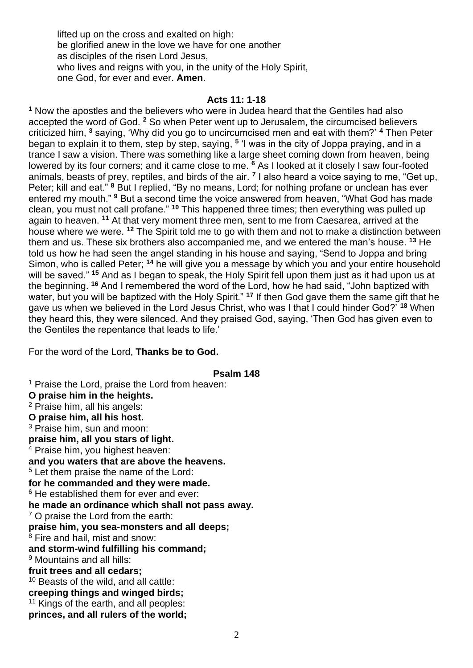lifted up on the cross and exalted on high: be glorified anew in the love we have for one another as disciples of the risen Lord Jesus, who lives and reigns with you, in the unity of the Holy Spirit, one God, for ever and ever. **Amen**.

#### **Acts 11: 1-18**

**<sup>1</sup>** Now the apostles and the believers who were in Judea heard that the Gentiles had also accepted the word of God. **<sup>2</sup>** So when Peter went up to Jerusalem, the circumcised believers criticized him, **<sup>3</sup>** saying, 'Why did you go to uncircumcised men and eat with them?' **<sup>4</sup>** Then Peter began to explain it to them, step by step, saying, **<sup>5</sup>** 'I was in the city of Joppa praying, and in a trance I saw a vision. There was something like a large sheet coming down from heaven, being lowered by its four corners; and it came close to me. **<sup>6</sup>** As I looked at it closely I saw four-footed animals, beasts of prey, reptiles, and birds of the air. **<sup>7</sup>** I also heard a voice saying to me, "Get up, Peter; kill and eat." **<sup>8</sup>** But I replied, "By no means, Lord; for nothing profane or unclean has ever entered my mouth." **<sup>9</sup>** But a second time the voice answered from heaven, "What God has made clean, you must not call profane." **<sup>10</sup>** This happened three times; then everything was pulled up again to heaven. **<sup>11</sup>** At that very moment three men, sent to me from Caesarea, arrived at the house where we were. **<sup>12</sup>** The Spirit told me to go with them and not to make a distinction between them and us. These six brothers also accompanied me, and we entered the man's house. **<sup>13</sup>** He told us how he had seen the angel standing in his house and saying, "Send to Joppa and bring Simon, who is called Peter; **<sup>14</sup>** he will give you a message by which you and your entire household will be saved." **<sup>15</sup>** And as I began to speak, the Holy Spirit fell upon them just as it had upon us at the beginning. **<sup>16</sup>** And I remembered the word of the Lord, how he had said, "John baptized with water, but you will be baptized with the Holy Spirit." **<sup>17</sup>** If then God gave them the same gift that he gave us when we believed in the Lord Jesus Christ, who was I that I could hinder God?' **<sup>18</sup>** When they heard this, they were silenced. And they praised God, saying, 'Then God has given even to the Gentiles the repentance that leads to life.'

For the word of the Lord, **Thanks be to God.** 

#### **Psalm 148**

<sup>1</sup> Praise the Lord, praise the Lord from heaven: **O praise him in the heights.** <sup>2</sup> Praise him, all his angels: **O praise him, all his host.** <sup>3</sup> Praise him, sun and moon: **praise him, all you stars of light.** <sup>4</sup> Praise him, you highest heaven: **and you waters that are above the heavens.** <sup>5</sup> Let them praise the name of the Lord: **for he commanded and they were made.** <sup>6</sup> He established them for ever and ever: **he made an ordinance which shall not pass away.** <sup>7</sup> O praise the Lord from the earth: **praise him, you sea-monsters and all deeps;**  $8$  Fire and hail, mist and snow: **and storm-wind fulfilling his command;** <sup>9</sup> Mountains and all hills: **fruit trees and all cedars;** <sup>10</sup> Beasts of the wild, and all cattle: **creeping things and winged birds;** <sup>11</sup> Kings of the earth, and all peoples: **princes, and all rulers of the world;**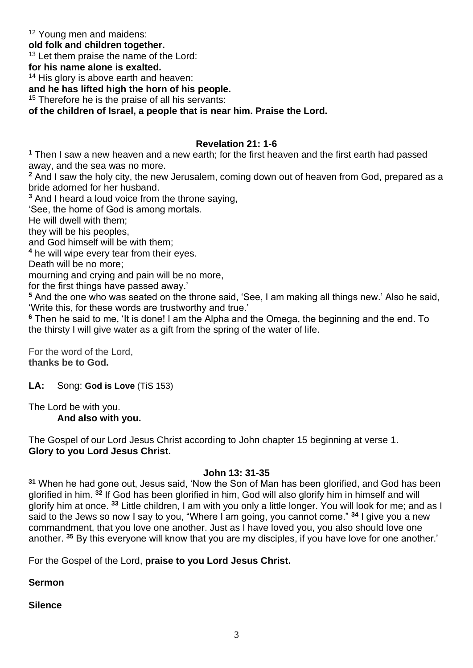<sup>12</sup> Young men and maidens:

**old folk and children together.**

<sup>13</sup> Let them praise the name of the Lord:

**for his name alone is exalted.**

<sup>14</sup> His glory is above earth and heaven:

**and he has lifted high the horn of his people.**

<sup>15</sup> Therefore he is the praise of all his servants:

**of the children of Israel, a people that is near him. Praise the Lord.**

### **Revelation 21: 1-6**

**<sup>1</sup>** Then I saw a new heaven and a new earth; for the first heaven and the first earth had passed away, and the sea was no more.

**<sup>2</sup>** And I saw the holy city, the new Jerusalem, coming down out of heaven from God, prepared as a bride adorned for her husband.

**<sup>3</sup>** And I heard a loud voice from the throne saying,

'See, the home of God is among mortals.

He will dwell with them;

they will be his peoples,

and God himself will be with them;

**<sup>4</sup>** he will wipe every tear from their eyes.

Death will be no more;

mourning and crying and pain will be no more,

for the first things have passed away.'

**<sup>5</sup>** And the one who was seated on the throne said, 'See, I am making all things new.' Also he said, 'Write this, for these words are trustworthy and true.'

**<sup>6</sup>** Then he said to me, 'It is done! I am the Alpha and the Omega, the beginning and the end. To the thirsty I will give water as a gift from the spring of the water of life.

For the word of the Lord, **thanks be to God.**

**LA:** Song: **God is Love** (TiS 153)

The Lord be with you. **And also with you.** 

The Gospel of our Lord Jesus Christ according to John chapter 15 beginning at verse 1. **Glory to you Lord Jesus Christ.** 

## **John 13: 31-35**

**<sup>31</sup>** When he had gone out, Jesus said, 'Now the Son of Man has been glorified, and God has been glorified in him. **<sup>32</sup>** If God has been glorified in him, God will also glorify him in himself and will glorify him at once. **<sup>33</sup>** Little children, I am with you only a little longer. You will look for me; and as I said to the Jews so now I say to you, "Where I am going, you cannot come." **<sup>34</sup>** I give you a new commandment, that you love one another. Just as I have loved you, you also should love one another. **<sup>35</sup>** By this everyone will know that you are my disciples, if you have love for one another.'

For the Gospel of the Lord, **praise to you Lord Jesus Christ.** 

**Sermon**

**Silence**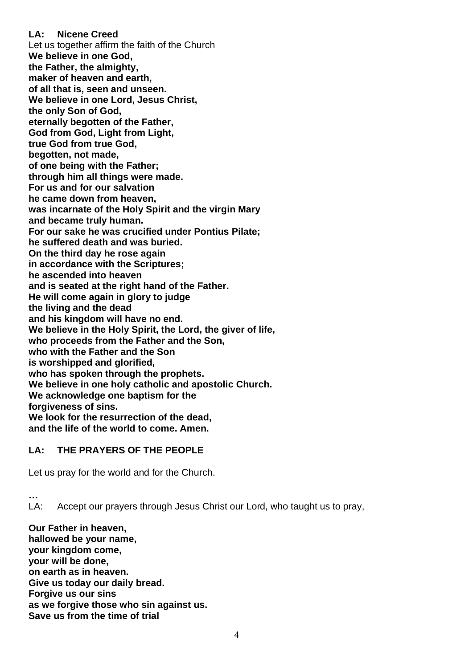#### **LA: Nicene Creed**

Let us together affirm the faith of the Church **We believe in one God, the Father, the almighty, maker of heaven and earth, of all that is, seen and unseen. We believe in one Lord, Jesus Christ, the only Son of God, eternally begotten of the Father, God from God, Light from Light, true God from true God, begotten, not made, of one being with the Father; through him all things were made. For us and for our salvation he came down from heaven, was incarnate of the Holy Spirit and the virgin Mary and became truly human. For our sake he was crucified under Pontius Pilate; he suffered death and was buried. On the third day he rose again in accordance with the Scriptures; he ascended into heaven and is seated at the right hand of the Father. He will come again in glory to judge the living and the dead and his kingdom will have no end. We believe in the Holy Spirit, the Lord, the giver of life, who proceeds from the Father and the Son, who with the Father and the Son is worshipped and glorified, who has spoken through the prophets. We believe in one holy catholic and apostolic Church. We acknowledge one baptism for the forgiveness of sins. We look for the resurrection of the dead, and the life of the world to come. Amen.** 

## **LA: THE PRAYERS OF THE PEOPLE**

Let us pray for the world and for the Church.

**…**

LA: Accept our prayers through Jesus Christ our Lord, who taught us to pray,

**Our Father in heaven, hallowed be your name, your kingdom come, your will be done, on earth as in heaven. Give us today our daily bread. Forgive us our sins as we forgive those who sin against us. Save us from the time of trial**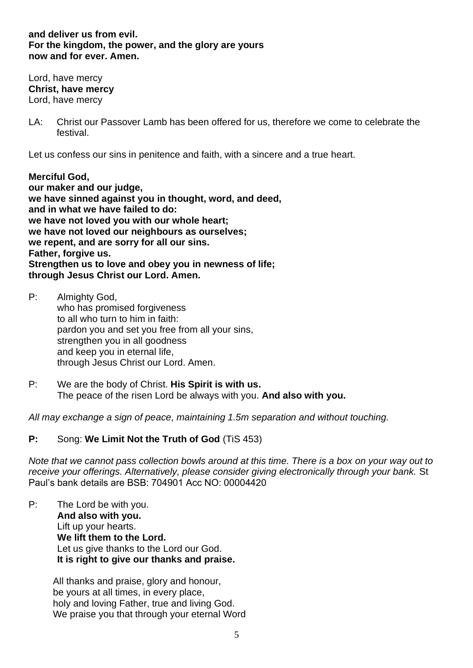#### **and deliver us from evil. For the kingdom, the power, and the glory are yours now and for ever. Amen.**

Lord, have mercy **Christ, have mercy** Lord, have mercy

LA: Christ our Passover Lamb has been offered for us, therefore we come to celebrate the festival.

Let us confess our sins in penitence and faith, with a sincere and a true heart.

**Merciful God, our maker and our judge, we have sinned against you in thought, word, and deed, and in what we have failed to do: we have not loved you with our whole heart; we have not loved our neighbours as ourselves; we repent, and are sorry for all our sins. Father, forgive us. Strengthen us to love and obey you in newness of life; through Jesus Christ our Lord. Amen.** 

- P: Almighty God, who has promised forgiveness to all who turn to him in faith: pardon you and set you free from all your sins, strengthen you in all goodness and keep you in eternal life, through Jesus Christ our Lord. Amen.
- P: We are the body of Christ. **His Spirit is with us.**  The peace of the risen Lord be always with you. **And also with you.**

*All may exchange a sign of peace, maintaining 1.5m separation and without touching.*

## **P:** Song: **We Limit Not the Truth of God** (TiS 453)

*Note that we cannot pass collection bowls around at this time. There is a box on your way out to receive your offerings. Alternatively, please consider giving electronically through your bank.* St Paul's bank details are BSB: 704901 Acc NO: 00004420

P: The Lord be with you. **And also with you.**  Lift up your hearts. **We lift them to the Lord.**  Let us give thanks to the Lord our God. **It is right to give our thanks and praise.** 

> All thanks and praise, glory and honour, be yours at all times, in every place, holy and loving Father, true and living God. We praise you that through your eternal Word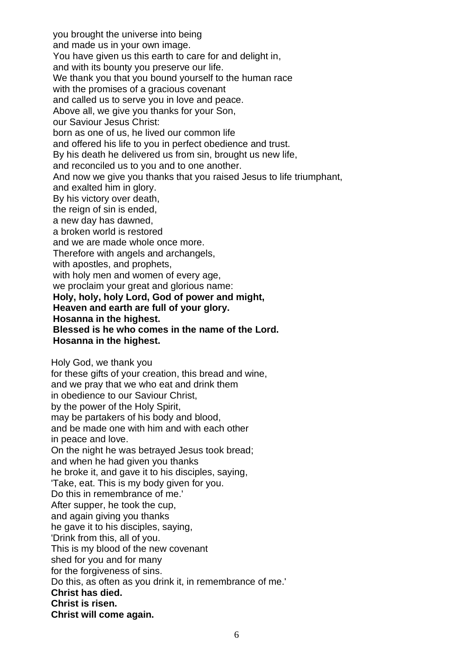you brought the universe into being and made us in your own image. You have given us this earth to care for and delight in, and with its bounty you preserve our life. We thank you that you bound yourself to the human race with the promises of a gracious covenant and called us to serve you in love and peace. Above all, we give you thanks for your Son, our Saviour Jesus Christ: born as one of us, he lived our common life and offered his life to you in perfect obedience and trust. By his death he delivered us from sin, brought us new life, and reconciled us to you and to one another. And now we give you thanks that you raised Jesus to life triumphant, and exalted him in glory. By his victory over death, the reign of sin is ended, a new day has dawned, a broken world is restored and we are made whole once more. Therefore with angels and archangels, with apostles, and prophets, with holy men and women of every age, we proclaim your great and glorious name: **Holy, holy, holy Lord, God of power and might, Heaven and earth are full of your glory. Hosanna in the highest. Blessed is he who comes in the name of the Lord. Hosanna in the highest.**  Holy God, we thank you for these gifts of your creation, this bread and wine, and we pray that we who eat and drink them in obedience to our Saviour Christ, by the power of the Holy Spirit, may be partakers of his body and blood, and be made one with him and with each other in peace and love. On the night he was betrayed Jesus took bread; and when he had given you thanks he broke it, and gave it to his disciples, saying, 'Take, eat. This is my body given for you. Do this in remembrance of me.' After supper, he took the cup, and again giving you thanks he gave it to his disciples, saying, 'Drink from this, all of you. This is my blood of the new covenant shed for you and for many for the forgiveness of sins. Do this, as often as you drink it, in remembrance of me.' **Christ has died. Christ is risen. Christ will come again.** 

6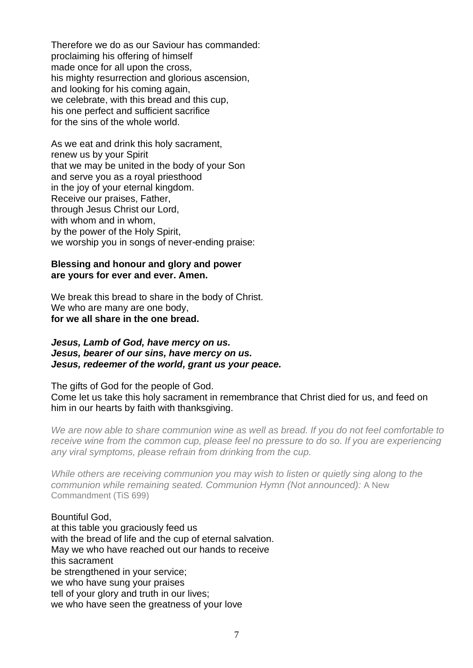Therefore we do as our Saviour has commanded: proclaiming his offering of himself made once for all upon the cross, his mighty resurrection and glorious ascension, and looking for his coming again, we celebrate, with this bread and this cup, his one perfect and sufficient sacrifice for the sins of the whole world.

As we eat and drink this holy sacrament, renew us by your Spirit that we may be united in the body of your Son and serve you as a royal priesthood in the joy of your eternal kingdom. Receive our praises, Father, through Jesus Christ our Lord, with whom and in whom, by the power of the Holy Spirit, we worship you in songs of never-ending praise:

#### **Blessing and honour and glory and power are yours for ever and ever. Amen.**

We break this bread to share in the body of Christ. We who are many are one body, **for we all share in the one bread.** 

#### *Jesus, Lamb of God, have mercy on us. Jesus, bearer of our sins, have mercy on us. Jesus, redeemer of the world, grant us your peace.*

The gifts of God for the people of God. Come let us take this holy sacrament in remembrance that Christ died for us, and feed on him in our hearts by faith with thanksgiving.

*We are now able to share communion wine as well as bread. If you do not feel comfortable to receive wine from the common cup, please feel no pressure to do so. If you are experiencing any viral symptoms, please refrain from drinking from the cup.*

*While others are receiving communion you may wish to listen or quietly sing along to the communion while remaining seated. Communion Hymn (Not announced):* A New Commandment (TiS 699)

## Bountiful God,

at this table you graciously feed us with the bread of life and the cup of eternal salvation. May we who have reached out our hands to receive this sacrament be strengthened in your service; we who have sung your praises tell of your glory and truth in our lives; we who have seen the greatness of your love